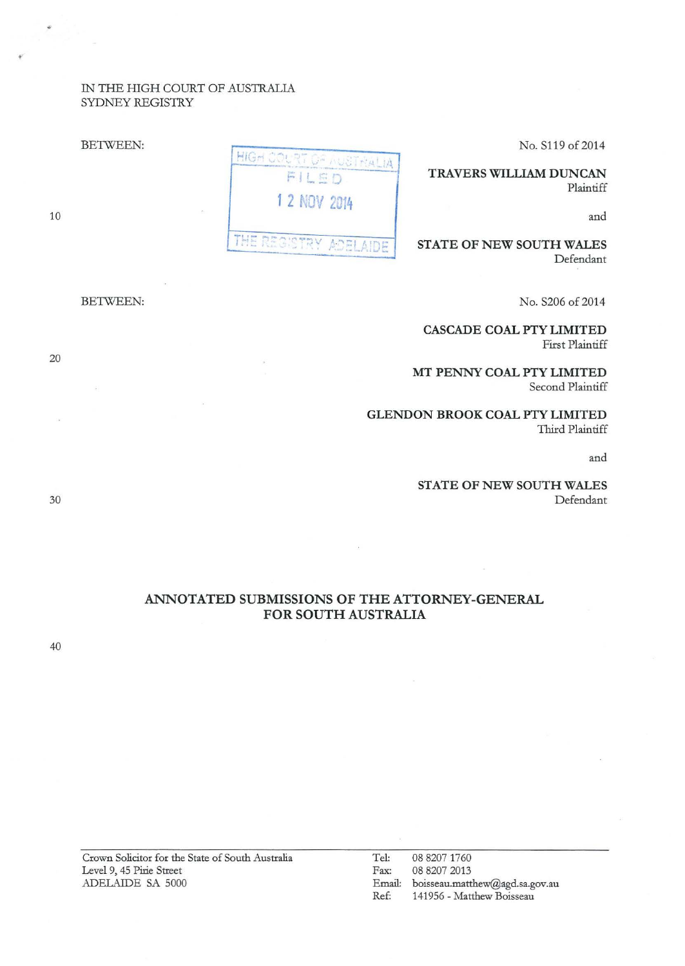## IN THE HIGH COURT OF AUSTRALIA SYDNEY REGISTRY

BETWEEN:

No. S119 of 2014

TRAVERS WILLIAM DUNCAN Plaintiff

and

STATE OF NEW SOUTH WALES Defendant

No. S206 of 2014

CASCADE COAL PTY LIMITED First Plaintiff

MT PENNY COAL PTY LIMITED Second Plaintiff

GLENDON BROOK COAL PTY LIMITED Third Plaintiff

and

STATE OF NEW SOUTH WALES Defendant

# ANNOTATED SUBMISSIONS OF THE ATTORNEY-GENERAL FOR SOUTH AUSTRALIA

1 2 NOV 2014

THE

HIGH COURT OF AUSTRALIA FILED

Crown Solicitor for the State of South Australia Level 9, 45 Pirie Street

ADELAIDE SA 5000

10

BETWEEN:

20

30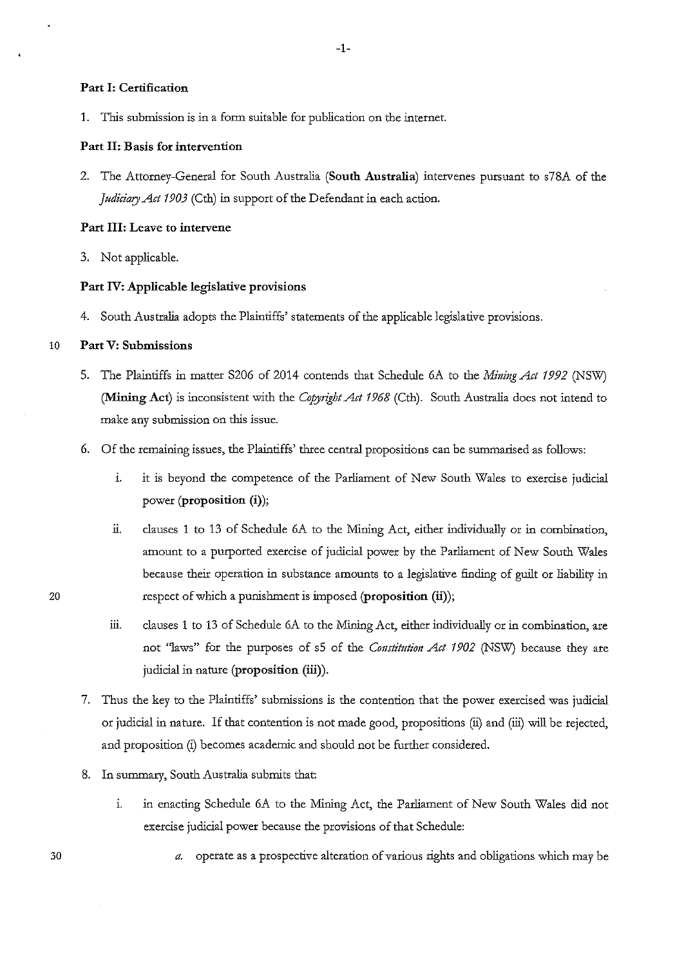#### **Part I: Certification**

1. This submission is in a form suitable for publication on the internet.

### **Part II: Basis for intervention**

2. The Attorney-General for South Australia **(South Australia)** intervenes pursuant to s78A of the *Judiciary Act 1903* (Cth) in support of the Defendant in each action.

### **Part III: Leave to intervene**

3. Not applicable.

### **Part IV: Applicable legislative provisions**

4. South Australia adopts the Plaintiffs' statements of the applicable legislative provisions.

### 10 **Part V: Submissions**

- 5. The Plaintiffs in matter S206 of 2014 contends that Schedule 6A to the *Mining Act 1992* (NSW) **(Mining Act)** is inconsistent with the *Copyright Act 1968* (Cth). South Australia does not intend to make any submission on this issue.
- 6. Of the remaining issues, the Plaintiffs' three central propositions can be summarised as follows:
	- 1. it is beyond the competence of the Parliament of New South Wales to exercise judicial power **(proposition (i)** );
	- ii. clauses 1 to 13 of Schedule 6A to the Mining Act, either individually or in combination, amount to a purported exercise of judicial power by the Parliament of New South Wales because their operation in substance amounts to a legislative finding of guilt or liability in respect of which a punishment is imposed **(proposition (ii));**
	- iii. clauses 1 to 13 of Schedule 6A to the Mining Act, either individually or in combination, are not "laws" for the purposes of s5 of the *Constitution Act 1902* (NSW) because they are judicial in nature **(proposition (iii)).**
- 7. Thus the key to the Plaintiffs' submissions is the contention that the power exercised was judicial or judicial in nature. If that contention is not made good, propositions (ii) and (iii) will be rejected, and proposition (i) becomes academic and should not be further considered.
- 8. In summary, South Australia submits that:
	- 1. in enacting Schedule 6A to the Mining Act, the Parliament of New South Wales did not exercise judicial power because the provisions of that Schedule:
		- *a.* operate as a prospective alteration of various rights and obligations which may be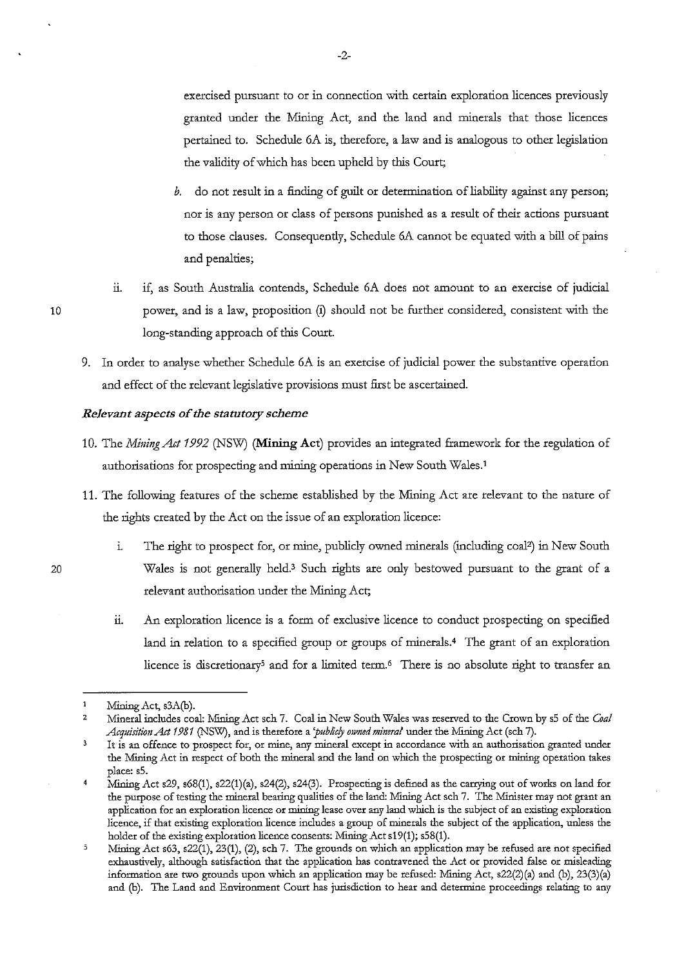exercised pursuant to or in connection with certain exploration licences previously granted under the Mining Act, and the land and minerals that those licences pertained to. Schedule 6A is, therefore, a law and is analogous to other legislation the validity of which has been upheld by this Court;

- *b.* do not result in a finding of guilt or determination of liability against any person; nor is any person or class of persons punished as a result of their actions pursuant to those clauses. Consequendy, Schedule 6A cannot be equated with a bill of pains and penalties;
- ii. if, as South Australia contends, Schedule 6A does not amount to an exercise of judicial power, and is a law, proposition (i) should not be further considered, consistent with the long-standing approach of this Court.
- 9. In order to analyse whether Schedule 6A is an exercise of judicial power the substantive operation and effect of the relevant legislative provisions must first be ascertained.

### *Relevant aspects of the statutory scheme*

- 10. The *Mining Act 1992* (NSW) (**Mining Act**) provides an integrated framework for the regulation of authorisations for prospecting and mining operations in New South Wales.'
- 11. The following features of the scheme established by the Mining Act are relevant to the nature of the rights created by the Act on the issue of an exploration licence:
	- 1. The right to prospect for, or mine, publicly owned minerals (including coal2) in New South Wales is not generally held.<sup>3</sup> Such rights are only bestowed pursuant to the grant of a relevant authorisation under the Mining Act;
	- ii. An exploration licence is a form of exclusive licence to conduct prospecting on specified land in relation to a specified group or groups of minerals.4 The grant of an exploration licence is discretionary<sup>5</sup> and for a limited term.<sup>6</sup> There is no absolute right to transfer an

20

 $\mathbf{1}$ Mining Act, s3A(b).

**<sup>2 1</sup>vfineral includes coal: :Mlning Act sch 7. Coal in New South Wales was reserved to the Crown by sS of the** *Coal Acquisitiou Act* 1981 (NSW), and is therefore a *'pub/icfy ow11ed mineral* under the Mining Act ( sch 7).

**<sup>3</sup> It is an offence to prospect for, or mine, any mineral except in accordance with an authorisation granted under**  the Mining Act in respect of both the mineral and the land on which the prospecting or mining operation takes place: sS.

<sup>4</sup>Mining Act s29, s68(1), s22(1)(a), s24(2), s24(3). Prospecting is defined as the carrying out of works on land for the purpose of testing the mineral beating qualities of the land: Mining Act sch 7. The Minister may not grant an **application for an exploration licence or mining lease over any land which is the subject of an existing exploration licence, if that existing exploration licence includes a group of minerals the subject of the application, unless the**  holder of the existing exploration licence consents: Mining Act s19(1); s58(1).

 $\bar{\mathbf{5}}$ Mining Act s63, s22(1), 23(1), (2), sch 7. The grounds on which an application may be refused are not specified **exhaustively, although satisfaction that the application has contravened the Act or provided false or misleading**  information are two grounds upon which an application may be refused: Mining Act, s22(2)(a) and (b), 23(3)(a) **and (b). The Land and Environment Court has jurisdiction to hear and determine proceedings relating to any**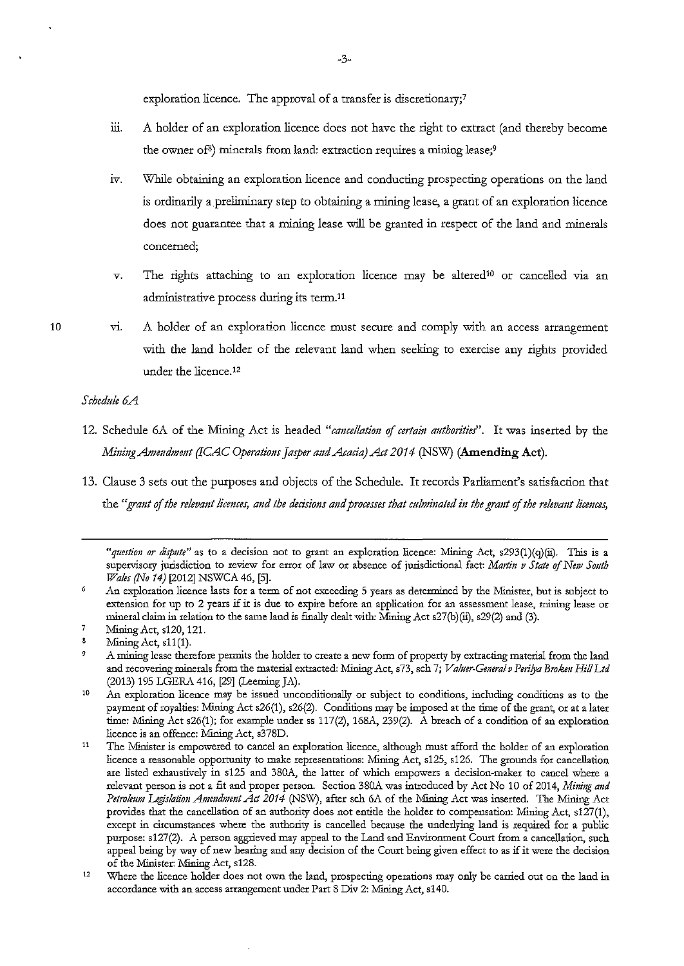exploration licence. The approval of a transfer is discretionary;<sup>7</sup>

- iii. A holder of an exploration licence does not have the right to extract (and thereby become the owner of<sup>8</sup>) minerals from land: extraction requires a mining lease;<sup>9</sup>
- 1v. While obtaining an exploration licence and conducting prospecting operations on the land is ordinarily a preliminary step to obtaining a mining lease, a grant of an exploration licence does not guarantee that a mining lease will be granted in respect of the land and minerals **concerned;**
- $v$ . The rights attaching to an exploration licence may be altered<sup>10</sup> or cancelled via an administrative process during its term.!'

10

vi. A holder of an exploration licence must secure and comply with an access arrangement with the land holder of the relevant land when seeking to exercise any rights provided under the licence.12

### *Schedule 6A*

- 12. Schedule 6A of the Mining Act is headed "cancellation of certain authorities". It was inserted by the *Mining Amendment (ICAC Operations Jasper and Acacia) Act 2014 (NSW) (Amending Act).*
- 13. Clause 3 sets out the purposes and objects of the Schedule. It records Parliament's satisfaction that the "grant of the relevant licences, and the decisions and processes that culminated in the grant of the relevant licences,

<sup>&</sup>quot;question or dispute" as to a decision not to grant an exploration licence: Mining Act, s293(1)(q)(ii). This is a supervisory jurisdiction to review for error of law or absence of jurisdictional fact: *Martin v State of New South Wales (No 14)* [2012] NSWCA 46, [5].

<sup>6</sup>  An exploration licence lasts for a term of not exceeding 5 years as determined by the Minister, but is subject to extension for up to 2 years if it is due to expire before an application for an assessment lease, mining lease or mineral claim in relation to the same land is finally dealt with: Mining Act s27(b)(ii), s29(2) and (3).

<sup>7</sup>  Mining Act, s120, 121.

<sup>8</sup>  Mining Act, s11(1).

<sup>9</sup>  **A mining lease therefore permits the holder to create a new form of property by extracting material from the land**  and recovering minerals from the material extracted: Mining Act, s73, sch 7; *Valuer-General v Perilya Broken Hill Ltd* (2013) 195 LGERA 416, [29] (Leeming JA).

<sup>10</sup>  **An exploration licence may be issued unconditionally or subject to conditions, including conditions as to the**  payment of royalties: Mining Act s26(1), s26(2). Conditions may be imposed at the time of the grant, or at a later time: Mining Act s26(1); for example under ss 117(2), 168A, 239(2). A breach of a condition of an exploration licence is an offence: Mining Act, s378D.

<sup>11</sup>  The Minister is empowered to cancel an exploration licence, although must afford the holder of an exploration licence a reasonable opportunity to make representations: Mining Act, s125, s126. The grounds for cancellation **are listed exhaustively in s125 and 380A, the latter of which empowers a decision-maker to cancel where a**  relevant person is not a fit and proper person. Section 380A was introduced by Act No 10 of 2014, *Mining and* Petroleum Legislation Amendment Act 2014 (NSW), after sch 6A of the Mining Act was inserted. The Mining Act **provides that the cancellation of an authority does not entitle the holder to compensation: Mining Act, s127(1), except in circumstances where the authority is cancelled because the underlying land is required for a public**  purpose: s127(2). A person aggrieved may appeal to the Land and Environment Court from a cancellation, such **appeal being by way of new hearing and any decision of the Court being given effect to as if it were the decision**  of the Minister: Mining Act, s128.

<sup>12</sup>  Where the licence holder does not own the land, prospecting operations may only be carried out on the land in accordance with an access arrangement under Part 8 Div 2: Mining Act, s140.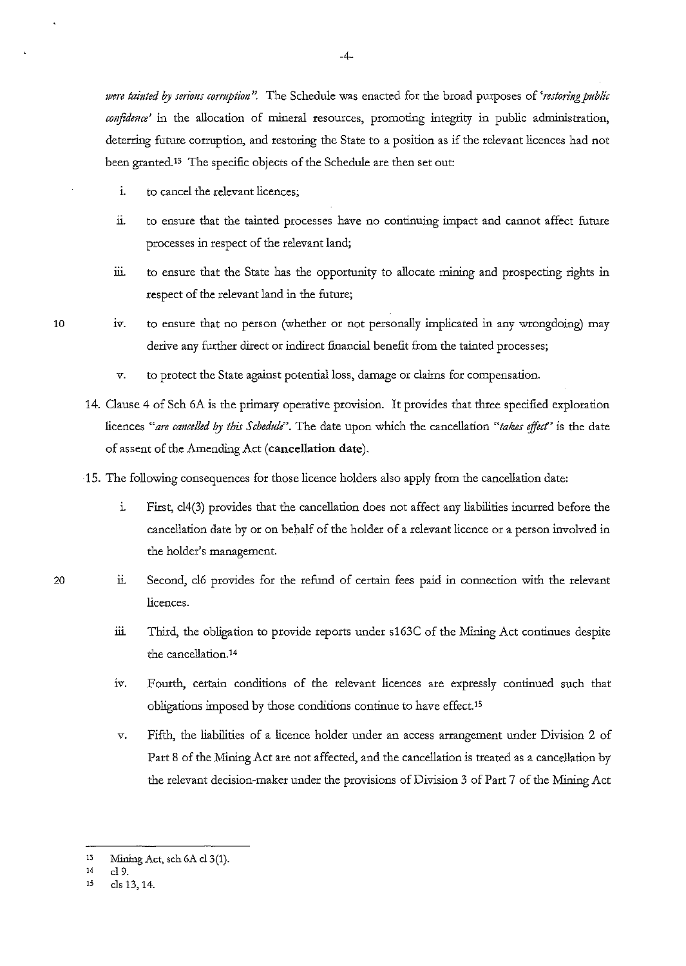*nere tainted by serious corruption"*. The Schedule was enacted for the broad purposes of 'restoring public confidence' in the allocation of mineral resources, promoting integrity in public administration, deterring future conuption, and restoring the State to a position as if the relevant licences had not been granted.<sup>13</sup> The specific objects of the Schedule are then set out:

- 1. to cancel the relevant licences;
- ii. to ensure that the tainted processes have no continuing impact and cannot affect future processes in respect of the relevant land;
- iii. to ensure that the State has the opportunity to allocate mining and prospecting rights in respect of the relevant land in the future;
- iv. to ensure that no person (whether or not personally implicated in any wrongdoing) may derive any further direct or indirect financial benefit from the tainted processes;
	- *v.* to protect the State against potential loss, damage or claims for compensation.
- 14. Clause 4 of Sch 6A is the primary operative provision. It provides that three specified exploration licences "are cancelled by this Schedule". The date upon which the cancellation "takes effect" is the date of assent of the Amending Act **(cancellation date).**
- ·15. The following consequences for those licence holders also apply from the cancellation date:
	- 1. First, cl4(3) provides that the cancellation does not affect any liabilities incurred before the cancellation date by or on behalf of the holder of a relevant licence or a person involved in the holder's management.
	- ii. Second, cl6 provides for the refund of certain fees paid in connection with the relevant licences.
		- iii. Third, the obligation to provide reports under s163C of the Mining Act continues despite the cancellation.14
		- 1v. Fourth, certain conditions of the relevant licences are expressly continued such that obligations imposed by those conditions continue to have effect.15
		- *v.* Fifth, the liabilities of a licence holder under an access arrangement under Division 2 of Part 8 of the Mining Act are not affected, and the cancellation is treated as a cancellation by the relevant decision-maker under the provisions of Division 3 of Part 7 of the Mining Act

10

<sup>13</sup> Mining Act, sch 6A cl3(1).

**<sup>14</sup> cl 9.** 

**<sup>1</sup>s cis 13, 14.**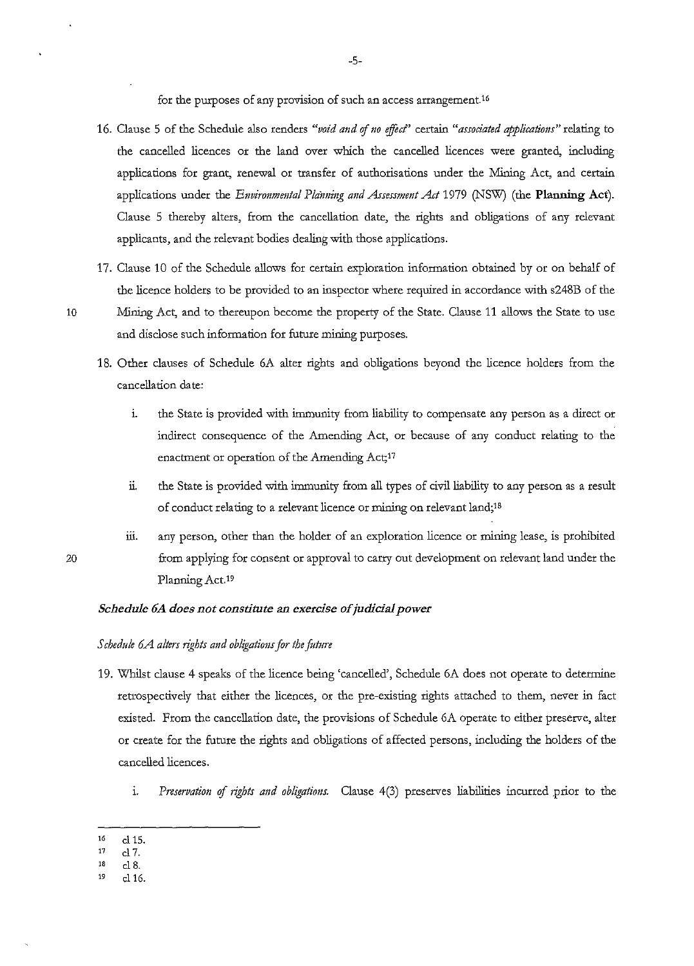for the purposes of any provision of such an access arrangement.16

- 16. Clause 5 of the Schedule also renders "void and of no effect" certain "associated applications" relating to the cancelled licences or the land over which the cancelled licences were granted, including applications for grant, renewal or transfer of authorisations under the Mining Act, and certain applications under the *Environmental Planning and Assessment Act* 1979 (NSW) (the **Planning Act**). Clause 5 thereby alters, from the cancellation date, the rights and obligations of any relevant applicants, and the relevant bodies dealing with those applications.
- 17. Clause 10 of the Schedule allows for certain exploration information obtained by or on behalf of the licence holders to be provided to an inspector where required in accordance with s248B of the
- 

20

10 Mining Act, and to thereupon become the property of the State. Clause 11 allows the State to use and disclose such information for future mining purposes.

- 18. Other clauses of Schedule 6A alter rights and obligations beyond the licence holders from the cancellation date:
	- 1. the State is provided with immunity from liability to compensate any person as a direct or indirect consequence of the Amending Act, or because of any conduct relating to the enactment or operation of the Amending Act;<sup>17</sup>
	- 11. the State is provided with immunity from all types of civil liability to any person as a result of conduct relating to a relevant licence or mining on relevant land;<sup>18</sup>
	- iii. any person, other than the holder of an exploration licence or mining lease, is prohibited from applying for consent or approval to carry out development on relevant land under the Planning Act.<sup>19</sup>

#### *Schedule 6A does not constitute an exercise of judicial power*

#### *Schedule 6.A alters rights and obligations for the future*

- 19. Whilst clause 4 speaks of the licence being 'cancelled', Schedule 6A does not operate to determine retrospectively that either the licences, or the pre-existing rights attached to them, never in fact existed. From the cancellation date, the provisions of Schedule 6A operate to either preserve, alter or create for the future the rights and obligations of affected persons, including the holders of the cancelled licences.
	- i. Preservation of rights and obligations. Clause 4(3) preserves liabilities incurred prior to the
- $16$  cl 15.<br>  $17$  cl 7
- 17 **cl7.**
- 18 cl 8.
- 19 cl16.

-5-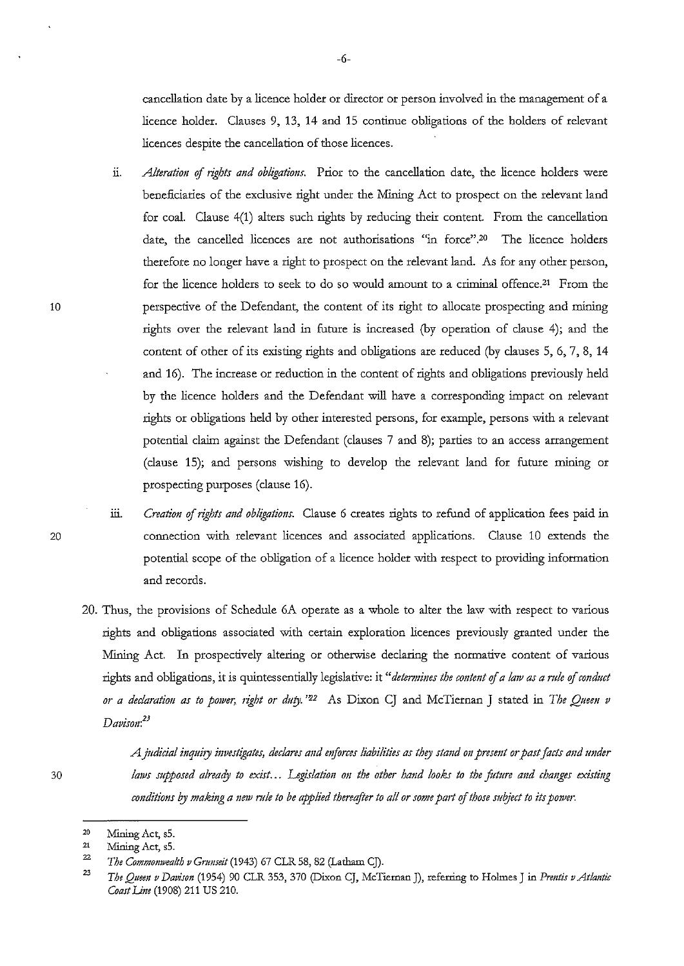cancellation date by a licence holder or director or person involved in the management of a licence holder. Clauses 9, 13, **14** and 15 continue obligations of the holders of relevant licences despite the cancellation of those licences.

- n. *Alteration* of *rights and obligations.* Prior to the cancellation date, the licence holders were beneficiaries of the exclusive right under the Mining Act to prospect on the relevant land for coal. Clause 4(1) alters such rights by reducing their content. From the cancellation date, the cancelled licences are not authorisations "in force".20 The licence holders therefore no longer have a right to prospect on the relevant land. As for any other person, for the licence holders to seek to do so would amount to a criminal offence.21 From the perspective of the Defendant, the content of its right to allocate prospecting and mining rights over the relevant land in future is increased (by operation of clause 4); and the content of other of its existing rights and obligations are reduced (by clauses 5, 6, 7, 8, 14 and 16). The increase or reduction in the content of rights and obligations previously held by the licence holders and the Defendant will have a corresponding impact on relevant rights or obligations held by other interested persons, for example, persons with a relevant potential claim against the Defendant (clauses 7 and 8); parties to an access arrangement (clause **15);** and persons wishing to develop the relevant land for future mining or prospecting purposes (clause 16).
- iii. *Creation of rights and obligations*. Clause 6 creates rights to refund of application fees paid in connection with relevant licences and associated applications. Clause 10 extends the potential scope of the obligation of a licence holder with respect to providing information and records.
- 20. Thus, the provisions of Schedule 6A operate as a whole to alter the law with respect to various rights and obligations associated with certain exploration licences previously granted under the Mining Act. In prospectively altering or otherwise declaring the normative content of various rights and obligations, it is quintessentially legislative: it "determines the content of a law as a rule of conduct *or a declaration as to power, right or duty.* <sup>22</sup> As Dixon CJ and McTiernan J stated in *The Queen v Davismt:<sup>23</sup>*

30

10

20

*A jttdicial inq11iry investigates, declares and mforces liabilities as they stand on presettt or past facts and tmder*  laws supposed already to exist... Legislation on the other hand looks to the future and changes existing *conditions by making a new rule to be applied thereafter to all or some part of those subject to its power*.

<sup>20</sup>  Mining Act, sS.

<sup>21</sup>  Mining Act, sS.

<sup>22</sup>  *The Commonwealth v Gnmseit* (1943) 67 CLR 58, 82 (Latham CJ).

<sup>23</sup>  *The Quee11 v Davison* (1954) 90 CLR 353, 370 (Dixon CJ, McTiernan J), referring to Holmes J in *Pmztis v Atlantic Coast Um* (1908) 211 US 210.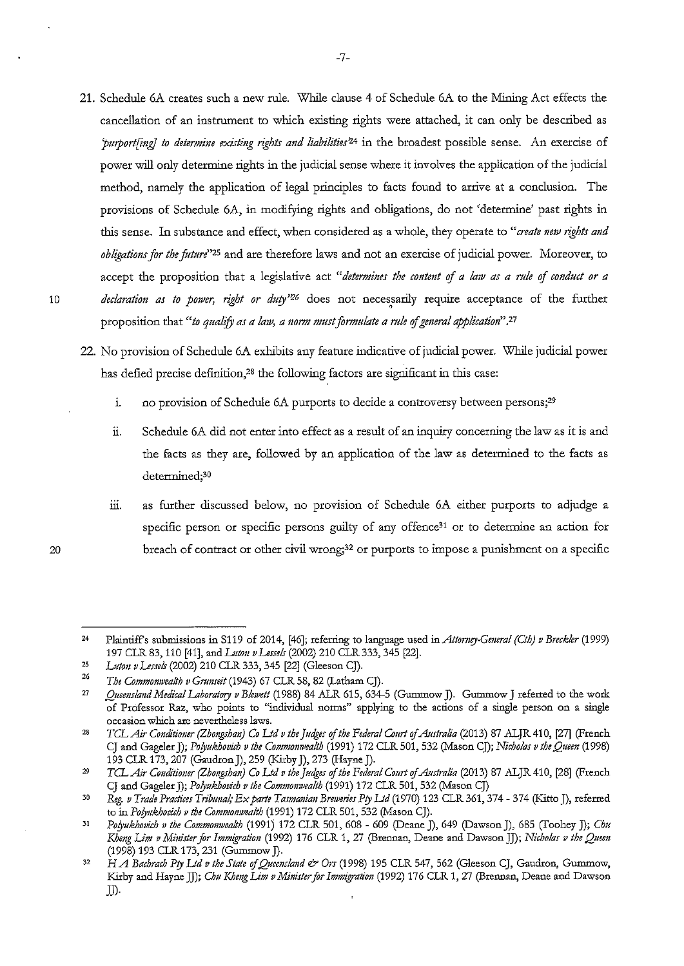- **21.** Schedule 6A creates such a new rule. While clause **4** of Schedule 6A to the Mining Act effects the cancellation of an instrument to which existing rights were attached, it can only be described as 'purport[ing] to determine existing rights and liabilities<sup>24</sup> in the broadest possible sense. An exercise of power will only determine rights in the judicial sense where it involves the application of the judicial method, namely the application of legal principles to facts found to arrive at a conclusion. The provisions of Schedule 6A, in modifying rights and obligations, do not 'determine' past rights in this sense. In substance and effect, when considered as a whole, they operate to "create new rights and *obligations for the futm/'25* and are therefore laws and not an exercise of judicial power. Moreover, to accept the proposition that a legislative act "determines the content of a law as a rule of conduct or a 10 *declaration as to p01ver, right or duty'26* does not necessarily require acceptance of the further ' proposition that "*to qualify as a law, a norm must formulate a rule of general application*".<sup>27</sup>
	- 22. No provision of Schedule 6A exhibits any feature indicative of judicial power. While judicial power has defied precise definition,<sup>28</sup> the following factors are significant in this case:
		- i. no provision of Schedule 6A purports to decide a controversy between persons;<sup>29</sup>
		- ii. Schedule 6A did not enter into effect as a result of an inquiry concerning the law as it is and the facts as they are, followed by an application of the law as determined to the facts as determined;30
		- iii. as further discussed below, no provision of Schedule 6A either purports to adjudge a specific person or specific persons guilty of any offence<sup>31</sup> or to determine an action for breach of contract or other civil wrong;32 or purports to impose a punishment on a specific

<sup>24</sup>  Plaintiffs submissions in S119 of 2014, [46]; refening to language used in *Attomey.Cmeral (Cth) v Breckler* (1999) 197 CLR 83, 110 [41], and *Luton v Lesse/s* (2002) 210 CLR 333, 345 [22].

<sup>25</sup>  26 *Luton vLessels* (2002) 210 CLR 333,345 [22] (Gleeson CJ).

*The Commonwealth v Gnmseit* (1943) 67 CLR 58, 82 (Latham CJ).

<sup>27</sup>  *Quemsland Medical Laboratory v Blewett* (1988) 84 ALR 615, 634-5 (Gummow J). Gummow **J** referred to the work **of Ptofessor Raz, who points to "individual norms" applying to the actions of a single person on a single occasion which are nevertheless laws.** 

<sup>28</sup>  *TCLAir Conditioner (Zhongshan) Co Ltd v the Judges of the Federal Court of Australia* (2013) 87 ALJR 410, [27] (French CJ and Gageler]); *Pofyukhovich v the Commonwealth* (1991) 172 CLR 501, 532 (Mason CJ); *Nicholas v the Quem* (1998) 193 CLR 173, 207 (Gaudron *]),* 259 (Kirby]), 273 (Hayne J).

<sup>29</sup>  *TCLAir Conditioner (Zhongshan) Co Led v the Judges of the Federal Court of Australia* (2013) 87 ALJR 410, [28] (French CJ and Gageler J); *Polyukhovich v the Commonwealth* (1991) 172 CLR 501, 532 (Mason CJ)

<sup>30</sup>  *Reg. v Trade Practices Tribunal,· Ex parte Tasmanian Bmveries P!J Ud* (1970) 123 CLR 361,374- 374 (Kitto J), referred to in *Pofyukhotich v the Commomvealth* (1991) 172 CLR 501, 532 (Mason CJ).

<sup>31</sup>  *Pofyukhotich v the Commomvealth* (1991) 172 CLR 501, 608 - 609 (Deane]), 649 (Dawson J), 685 (Toohey]); *Chu Kheng Lim v Minister for Immigration* (1992) 176 CLR 1, 27 (Brennan, Deane and Dawson JJ); *Nicholas v the Queen* (1998) 193 CLR 173,231 (Gummow]).

<sup>32</sup>  *H A Bachrach Pty Ltd v the State of Queensland & Ors* (1998) 195 CLR 547, 562 (Gleeson CJ, Gaudron, Gummow, Kirby and Hayne JJ); *Chu Kheng Lim v Minister for Immigration* (1992) 176 CLR 1, 27 (Brennan, Deane and Dawson  $J$ .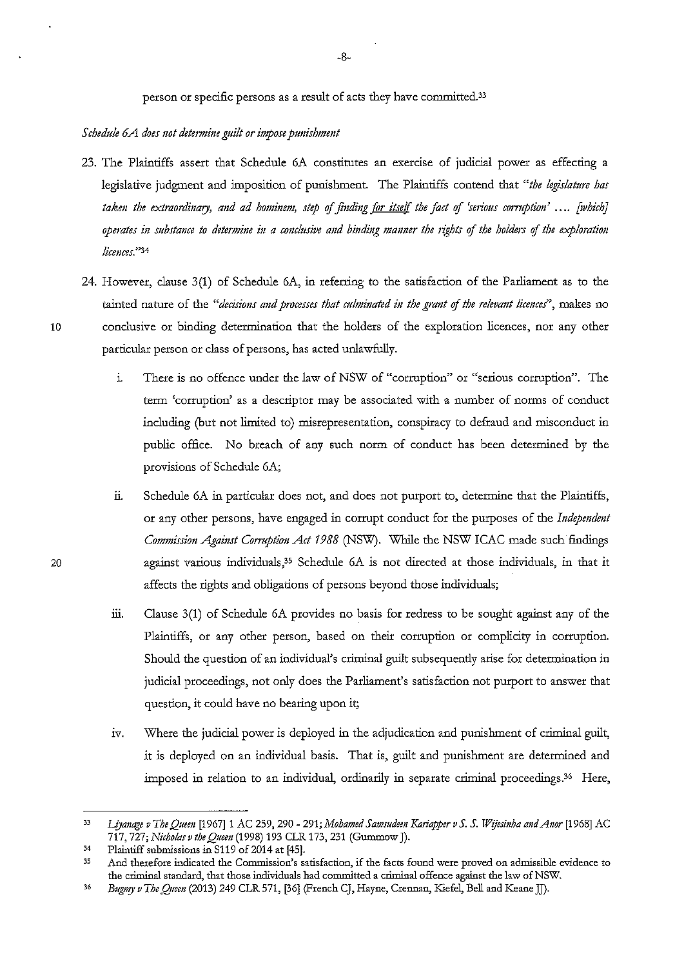### *Schedule 6A does not determine guilt or impose punishment*

- 23. The Plaintiffs assert that Schedule 6A constitutes an exercise of judicial power as effecting a legislative judgment and imposition of punishment. The Plaintiffs contend that *"the legislature has taken the extraordinary, and ad hominem, step of finding for itself the fact of 'serious corruption'* .... *[which] operates in substance to determine in a conclusive and binding manner the rights of the holders of the exploration /icmces.* "34
- 24. However, clause 3(1) of Schedule 6A, in referring to the satisfaction of the Parliament as to the tainted nature of the "decisions and processes that culminated in the grant of the relevant licences", makes no 10 conclusive or binding determination that the holders of the exploration licences, nor any other particular person or class of persons, has acted unlawfully.
	- 1. There is no offence under the law of NSW of "corruption" or "serious corruption". The term 'corruption' as a descriptor may be associated with a number of norms of conduct including (but not limited to) misrepresentation, conspiracy to defraud and misconduct in public office. No breach of any such norm of conduct has been determined by the provisions of Schedule 6A;
	- ii. Schedule 6A in particular does not, and does not purport to, determine that the Plaintiffs, or any other persons, have engaged in corrupt conduct for the purposes of the *Indepmdmt C01mnissi01t Against Comption Act 1988* (NSW). While the NSW ICAC made such findings against various individuals,<sup>35</sup> Schedule 6A is not directed at those individuals, in that it affects the rights and obligations of persons beyond those individuals;
	- iii. Clause  $3(1)$  of Schedule 6A provides no basis for redress to be sought against any of the Plaintiffs, or any other person, based on their corruption or complicity in corruption. Should the question of an individual's criminal guilt subsequently arise for determination in judicial proceedings, not only does the Parliament's satisfaction not purport to answer that question, it could have no bearing upon it;
	- iv. Where the judicial power is deployed in the adjudication and punishment of criminal guilt, it is deployed on an individual basis. That is, guilt and punishment are determined and imposed in relation to an individual, ordinarily in separate criminal proceedings.36 Here,

<sup>33</sup> Liyanage v The Queen <sup>[1967]</sup> 1 AC 259, 290 - 291; Mohamed Samsudeen Kariapper v S. S. Wijesinha and Anor [1968] AC 717, 727; *Nicholas v the Quem* (1998) 193 CLR 173, 231 (Gummow J).

<sup>&</sup>lt;sup>34</sup> Plaintiff submissions in S119 of 2014 at [45].<br><sup>35</sup> And therefore indicated the Commission's s

**<sup>35</sup> And therefore indicated the Commission's satisfaction, if the facts found were proved on admissible evidence to**  the criminal standard, that those individuals had committed a criminal offence against the law of NSW.

<sup>36</sup> *Bug?'!)! v The Q;1een* (2013) 249 CLR 571, [36] (French CJ, Hayne, Crennan, Kiefel, *Bell* and Keane JJ).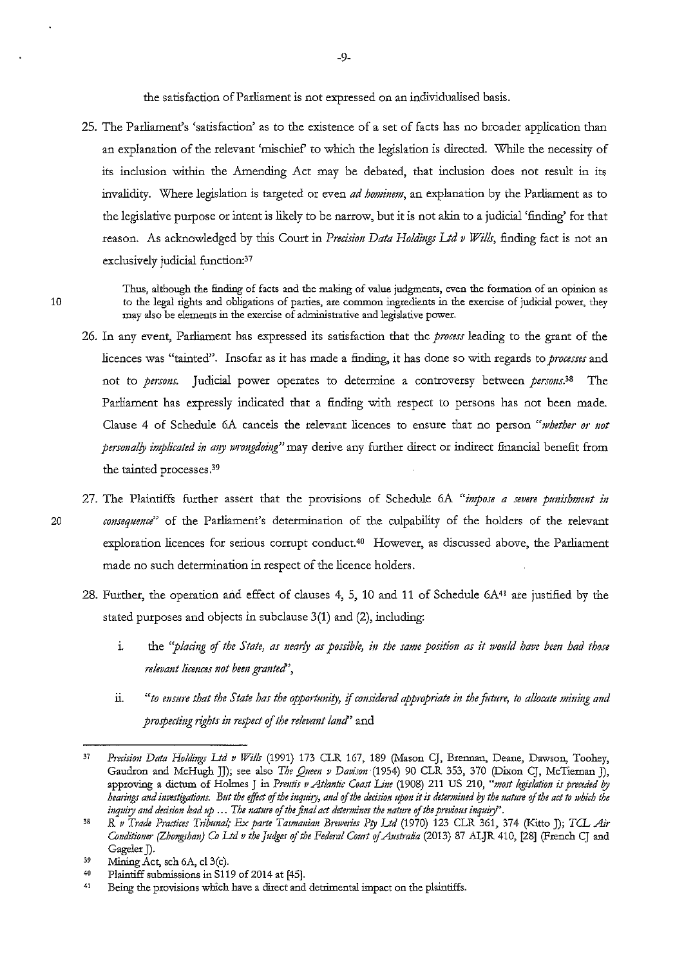the satisfaction of Parliament is not expressed on an individualised basis.

25. The Parliament's 'satisfaction' as to the existence of a set of facts has no broader application than an explanation of the relevant 'mischief' to wbich the legislation is directed. While the necessity of its inclusion within the Amending Act may be debated, that inclusion does not result in its invalidity. Where legislation is targeted or even *ad hominem,* an explanation by the Parliament as to the legislative purpose or intent is likely to be narrow, but it is not akin to a judicial 'finding' for that reason. As acknowledged by this Court in *Precision Data Holdings Ltd v Wills*, finding fact is not an exclusively judicial function:<sup>37</sup>

Thus, although the finding of facts and the making of value judgments, even the formation of an opinion as **to the legal rights and obligations of parties, are common ingredients in the exercise of judicial power, they may also be elements in the exercise of administrative and legislative power.** 

- 26. In any event, Parliament has expressed its satisfaction that the *process* leading to the grant of the licences was "tainted". Insofar as it has made a finding, it has done so with regards to *processes* and not to *persons.* Judicial power operates to determine a controversy between *persons.'S* The Parliament has expressly indicated that a finding with respect to persons has not been made. Clause 4 of Schedule 6A cancels the relevant licences to ensure that no person *"1vhether or not personally implicated in any wrongdoing*" may derive any further direct or indirect financial benefit from the tainted processes.39
- 27. The Plaintiffs further assert that the provisions of Schedule 6A "*impose a severe punishment in* 20 *consequence*" of the Parliament's determination of the culpability of the holders of the relevant exploration licences for serious corrupt conduct.<sup>40</sup> However, as discussed above, the Parliament made no such determination in respect of the licence holders.
	- 28. Further, the operation and effect of clauses 4, 5, 10 and 11 of Schedule 6A41 are justified by the stated purposes and objects in subclause 3(1) and (2), including:
		- i. the "*placing of the State, as nearly as possible, in the same position as it would have been had those relevant licmces 110! been granted',*
		- ii. *"to ensure that the State has the opportunity, if considered appropriate in the future, to allocate mining and prospecting rights in respect of the relevant land*' and

<sup>37</sup>  *Precision Data Holdings Ltd v WiiLr* (1991) 173 CLR 167, 189 (Mason CJ, Brennan, Deane, Dawson, Toohey, Gaudron and McHugh JJ); see also *The Q11em v Davison* (1954) 90 CLR 353, 370 (Dixon CJ, McTiernan J), approving a dictum of Holmes J in *Prentis v Atlantic Coast Line* (1908) 211 US 210, "most legislation is preceded by *heati11gs and investigations. But the effoct* **of** *the inquiry, and of the decisioJt* **upo11** *it is determi11ed* **l?J** *the nature* **of** *the act to which the inq11iry and decision lead up* ... *The nature* **of** *the final act determbzes the nature* **of** *the previous* h~tpti,Y~.

<sup>38</sup>  R *v Trade Practices Trib11nal; Ex parte Tasmania11 Breweries Pry Ltd* (1970) 123 CLR 361, 374 (Kitto J); TCL *Air Co11ditioner (Zhongshan) Co Ltd v the Judges* of *the Federal Court* of *Australia* (2013) 87 ALJR 410, [28] (French CJ and Gageler J).

<sup>39</sup>  Mining Act, sch 6A, c13(c).

<sup>40</sup>  Plaintiff submissions in S119 of 2014 at [45].

<sup>41</sup>  Being the provisions which have a direct and detrimental impact on the plaintiffs.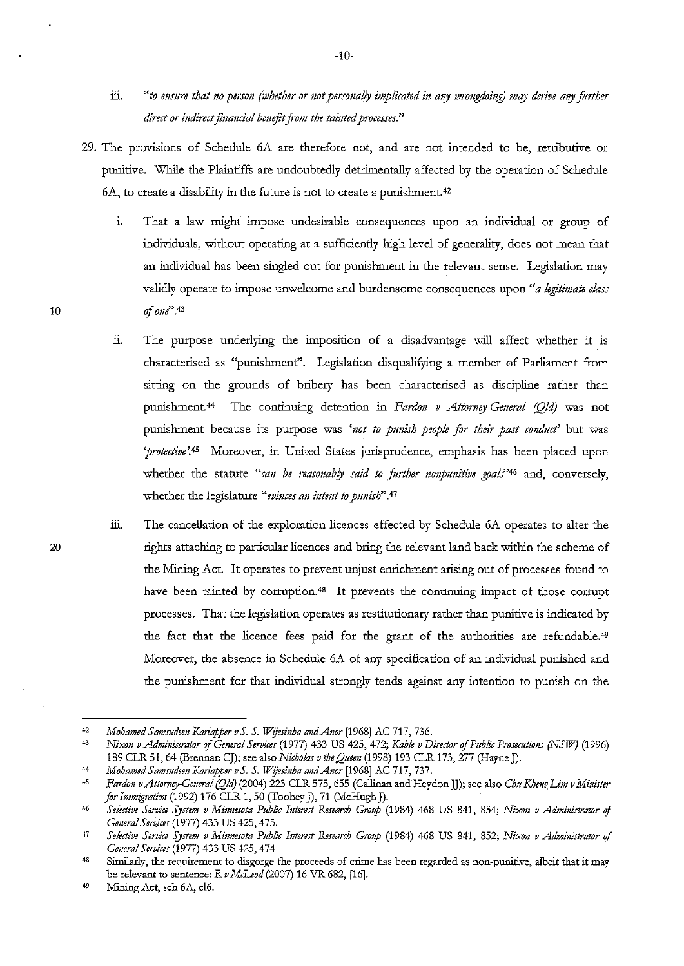- iii. *"to ensure that no person (whether or not personally implicated in any wrongdoing) may derive any further* direct or indirect financial benefit from the tainted processes."
- 29. The provisions of Schedule 6A are therefore not, and are not intended to be, retributive or punitive. While the Plaintiffs are undoubtedly detrimentally affected by the operation of Schedule 6A, to create a disability in the future is not to create a punishment. 42
	- i. That a law might impose undesirable consequences upon an individual or group of individuals, without operating at a sufficiently high level of generality, does not mean that an individual has been singled out for punishment in the relevant sense. Legislation may validly operate to impose unwelcome and burdensome consequences upon *"a legitimate class*  of one $^{\prime\prime}$ .43
	- 11. The purpose underlying the imposition of a disadvantage will affect whether it is characterised as "punishment". Legislation disqualifying a member of Parliament from sitting on the grounds of bribery has been characterised as discipline rather than punishment.<sup>44</sup> The continuing detention in *Fardon v Attorney-General (Old*) was not punishment because its purpose was 'not to punish people for their past conduct' but was *'protective'.45* Moreover, in United States jurisprudence, emphasis has been placed upon whether the statute "can be reasonably said to further nonpunitive goals"<sup>46</sup> and, conversely, whether the legislature "evinces an intent to punish".<sup>47</sup>
	- ill. The cancellation of the exploration licences effected by Schedule 6A operates to alter the rights attaching to particular licences and bring the relevant land back within the scheme of the Mining Act. It operates to prevent unjust enrichment arising out of processes found to have been tainted by corruption.<sup>48</sup> It prevents the continuing impact of those corrupt processes. That the legislation operates as restitutionaty rather than punitive is indicated by the fact that the licence fees paid for the grant of the authorities are refundable.49 Moreover, the absence in Schedule 6A of any specification of an individual punished and the punishment for that individual strongly tends against any intention to punish on the

-10-

<sup>42</sup>  *Mohamed Samsudeen Kariapper vS. S. Wijesinha andAnor* (1968] AC 717, 736.

<sup>43</sup>  *Nixon v Administrator* of *Gmeral Services* (1977) 433 US 425, 472; *Kable v Direttor* of *Public Prosecutions (NSJl!?* (1996) 189 CLR 51, 64 (Brennan CJ); see also *Nicholas v the Quem* (1998) 193 CLR 173, 277 (Hayne]).

<sup>44</sup>  *Mohamed Samsudem Kariapper vS. S. Wijesinha mrdAnor* [1968] AC 717, 737.

<sup>45</sup>  *Fardon v Attorney-General (Qld)* (2004) 223 CLR 575, 655 (Callinan and Heydon JJ); see also *Chu Kheng Lim v Minister for Immigrati011* (1992) 176 CLR 1, 50 (Toohey]), 71 (McHugh J).

<sup>46</sup>  *Se!ettive Service System v Mirmesota Public Interest Research Groap* (1984) 468 US 841, 854; *Nixon v Administrator* of *Gerreral Seridces* (1977) 433 US 425,475.

<sup>47</sup>  *Selective Service System v Minnesota Public Interest Research Group* (1984) 468 US 841, 852; *Nixon v Administrator* of *General Services* (1977) 433 US 425,474.

<sup>48</sup>  **Similarly, the requirement to disgorge the proceeds of crime has been regarded as non-punitive, albeit that it may**  he relevant to sentence: R *vMcLeod* (2007) 16 VR 682, [16].

<sup>49</sup> Mining Act, sch 6A, cl6.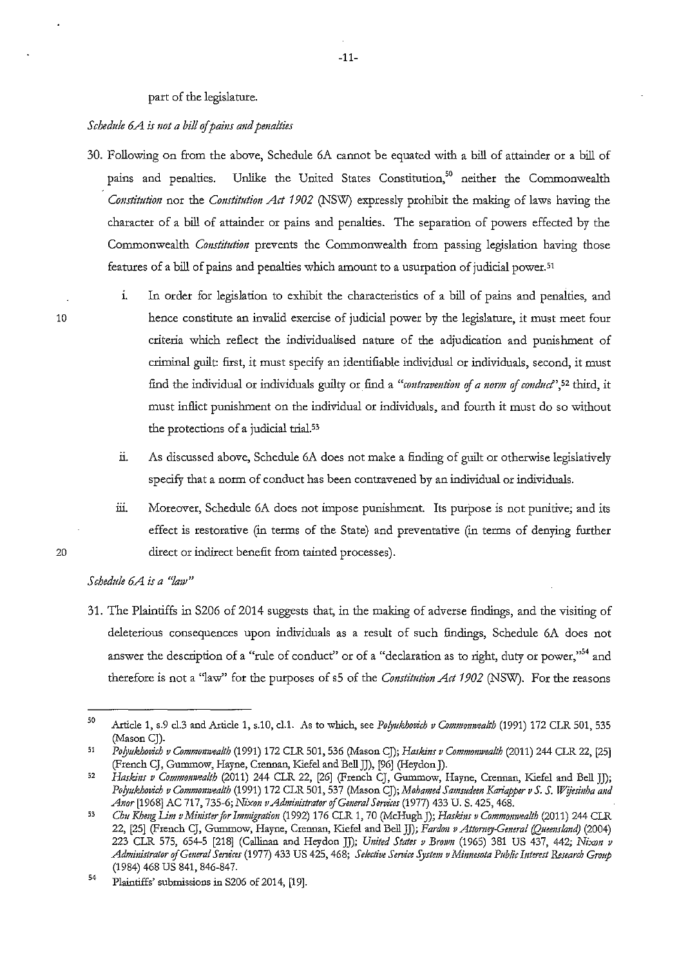### part of the legislature.

#### *Schedule 6A is not a bill of pains and penalties*

- 30. Following on from the above, Schedule 6A cannot be equated with a bill of attainder or a bill of pains and penalties. Unlike the United States Constitution,<sup>50</sup> neither the Commonwealth *Constitution* nor the *Constitution Act 1902* (NSW) expressly prohibit the making of laws having the character of a bill of attainder or pains and penalties. The separation of powers effected by the Commonwealth *Constitution* prevents the Commonwealth from passing legislation having those features of a bill of pains and penalties which amount to a usurpation of judicial power.<sup>51</sup>
	- 1. In order for legislation to exhibit the characteristics of a bill of pains and penalties, and hence constitute an invalid exercise of judicial power by the legislature, it must meet four criteria which reflect the individualised nature of the adjudication and punishment of criminal guilt: first, it must specify an identifiable individual or individuals, second, it must fiod the individual or individuals guilty or fiod a *"contravention of a norm* of *conducf',5Z* third, it must inflict punishment on the individual or individuals, and fourth it must do so without the protections of a judicial trial.<sup>53</sup>
		- ii. As discussed above, Schedule 6A does not make a fioding of guilt or otherwise legislatively specify that a norm of conduct has been contravened by an individual or individuals.
	- iii. Moreover, Schedule 6A does not impose punishment. Its purpose is not punitive; and its effect is restorative (in terms of the State) and preventative (in terms of denying further direct or indirect benefit from tainted processes).

## *Schedule 6A is a ''law"*

31. The Plaintiffs in S206 of 2014 suggests that, in the making of adverse fiodings, and the visiting of deleterious consequences upon individuals as a result of such fiodings, Schedule 6A does not answer the description of a "rule of conduct" or of a "declaration as to right, duty or power,"<sup>54</sup> and therefore is not a "law" for the purposes of sS of the *Constitution Act 1902* (NSW). For the reasons

20

<sup>50</sup>  Article 1, s.9 cl.3 and Article 1, s.10, cl.1. As to which, see *Polyukhovich v Commonwealth* (1991) 172 CLR 501, 535 (Mason CJ).

<sup>51</sup>  *Po(yukhovich v Commomvea/th* (1991) 172 CLR 501, 536 (Mason CJ); *Haskins v Commomvealth* (2011) 244 CLR 22, [25] (French CJ, Gummow, Hayne, Crennan, Kiefel and Bell]), [96] (Heydon]).

<sup>52</sup>  *Haskins v Commomvealth* (2011) 244 CLR 22, [26] (French CJ, Gummow, Hayne, Crennan, Kiefel and Bell JJ); Polyukhovich v Commonwealth (1991) 172 CLR 501, 537 (Mason CJ); *Mohamed Samsudeen Kariapper v S. S. Wijesinha and* Anor [1968] AC 717, 735-6; Nixon v Administrator of General Services (1977) 433 U.S. 425, 468.

<sup>53</sup>  *Chu Khmg lim vMinister for Immigration* (1992) 176 CLR 1, 70 (McHugh J); *Haskins v Commomvea/th* (2011) 244 CLR 22, [25] (French CJ, Gummow, Hayne, Crennan, Kiefel and Bell JJ); *Pardon v Attomey-Gmeral (Quemslmzd)* (2004) 223 CLR 575, 654-5 [218] (Callinan and Heydon JJ); *United States v Brown* (1965) 381 US 437, 442; *Nixon v Admiuistrator oJGmeral Services* (1977) 433 US 425, 468; *Selective Service System v Miuuesota Public Intmst &search Group*  (1984) 468 us 841, 846-847.

<sup>54</sup>  Plaintiffs' submissions in S206 of 2014, [19].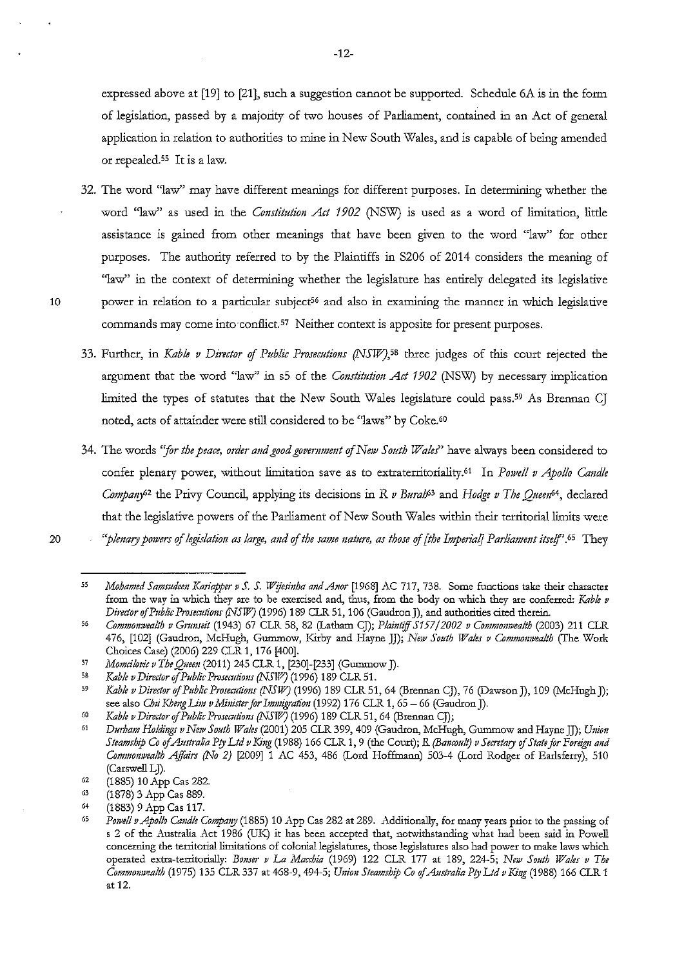expressed above at [19] to [21], such a suggestion cannot be supported. Schedule 6A is in the form of legislation, passed by a majority of two houses of Parliament, contained in an Act of general application in relation to authorities to mine in New South Wales, and is capable of being amended or repealed.<sup>55</sup> It is a law.

- 32. The word "law" may have different meanings for different purposes. In determining whether the word "law" as used in the *Constitution Act 1902* (NSW) is used as a word of limitation, little assistance is gained from other meanings that have been given to the word ''law" for other purposes. The authority referred to by the Plaintiffs in S206 of 2014 considers the meaning of "law" in the context of determining whether the legislature has entirely delegated its legislative 10 power in relation to a particular subject<sup>56</sup> and also in examining the manner in which legislative commands may come into conflict.<sup>57</sup> Neither context is apposite for present purposes.
	- 33. Further, in *Kable v Director of Public Prosecutions (NSW)*,<sup>58</sup> three judges of this court rejected the argument that the word ''law'' in sS of the *Constitution Act 1902* (NSW) by necessary implication limited the types of statutes that the New South Wales legislature could pass.59 As Brennan CJ noted, acts of attainder were still considered to be "laws" by Coke.<sup>60</sup>
	- 34. The words "for the peace, order and good government of New South Wales" have always been considered to confer plenary power, without limitation save as to extraterritoriality.<sup>61</sup> In *Powell v Apollo Candle Company*<sup>62</sup> the Privy Council, applying its decisions in *R v Buralf*<sup>3</sup> and *Hodge v The Queen*<sup>64</sup>, declared that the legislative powers of the Parliament of New South Wales within their territorial limits were *"plenary powers of legislation as large, and of the same nature, as those of [the Impetialj P arliammt itself'.* 65 They
- 20

**<sup>55</sup>**  *Mohamed Samsudeen Kariapper v S. S. Wijesinha and Anor* [1968] AC 717, 738. Some functions take their character **from the way in which they are to be exercised and, thus, from the body on which they are conferred:** *Kable v Director* of *Public Prosecutions (NSW)* (1996) 189 CLR 51, 106 (Gaudron J), and authorities cited therein.

 $\overline{56}$ *Commonwealth v Gnmseit* (1943) 67 CLR 58, 82 (Latham CJ); *Plaintiff S157/2002 v Commomvealth* (2003) 211 CLR 476, [102] (Gaudron, McHugh, Gummow, Kirby and Hayne JJ); *New South Wales v Commomvealth* (The Work Choices Case) (2006) 229 CLR 1, 176 [400].

<sup>57</sup> *Momcilovic v The Quem* (2011) 245 CLR 1, [230]-[233] (Gummow J).

<sup>58</sup> *Kable v Director* of *Public Prosecutions (NSII1)* (1996) 189 CLR 51.

<sup>59</sup> *Kable v Director* of *Public Pmsecutions (NSW)* (1996) 189 CLR 51, 64 (Brennan CJ), 76 (Dawson J), 109 (McHugh]); see also *Chu Kheng Lim v Minister for Immigration* (1992) 176 CLR 1, 65 - 66 (Gaudron J).

*<sup>60</sup>  Kable v Director* of *Public Prosecutions (NSW)* (1996) 189 CLR 51, 64 (Brennan CJ);

<sup>61</sup>  *Durham Holdings v New South Wales* (2001) 205 CLR 399, 409 (Gaudron, McHugh, Gummow and Hayne JJ); *Union Steamship Co* of *Australia Pty Ltd v King* (1988) 166 CLR 1, 9 (the Court); *R (Bancotdt) v Secretary* of *State for Foreign and*  Commonwealth Affairs (No 2) <sup>[2009]</sup> 1 AC 453, 486 (Lord Hoffmann) 503-4 (Lord Rodger of Earlsferry), 510 (Carswell LJ).

<sup>62</sup>  (1885) 10 App Cas 282.

<sup>63</sup> (1878) 3 App Cas 889.

<sup>64</sup>  (1883) 9 App Cas 117.

Powell v Apollo Candle Company (1885) 10 App Cas 282 at 289. Additionally, for many years prior to the passing of s 2 of the Australia Act 1986 (UK) it has been accepted that, notwithstanding what had been said in Powell concerning the territorial limitations of colonial legislatures, those legislatures also had power to make laws which operated extra-territorially: *Bo11ser v* La *Macchia* (1969) 122 CLR 177 at 189, 224-5; *New South Wales v The Commonwealth (1975) 135 CLR 337 at 468-9, 494-5; Union Steamship Co of Australia Pty Ltd v King (1988) 166 CLR 1* at 12.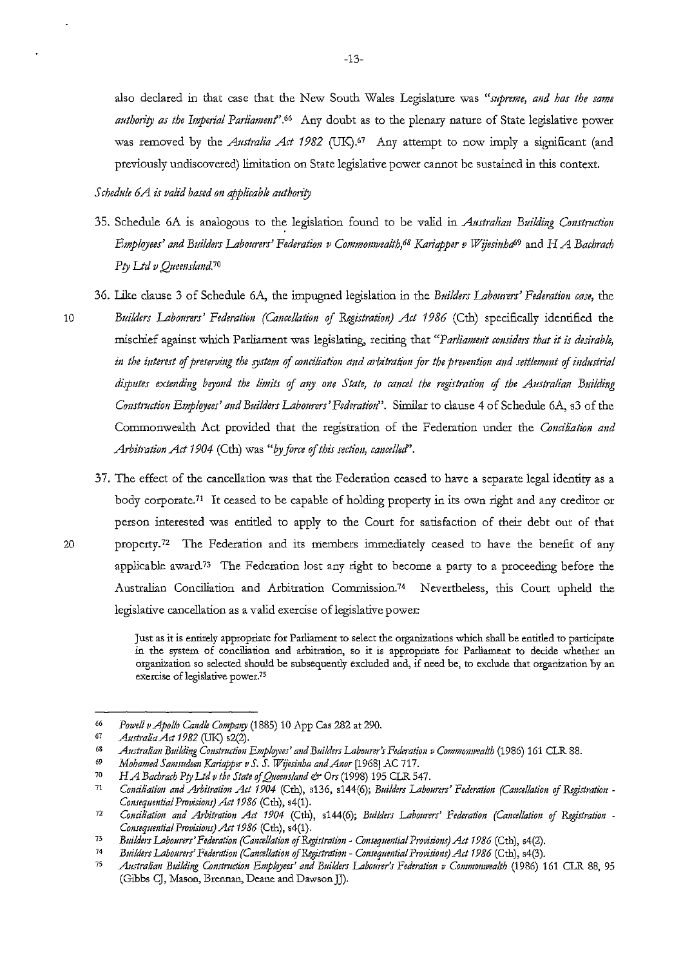also declared in that case that the New South Wales Legislature was *"supreme, and bas the same*  authority as the Imperial Parliament'.<sup>66</sup> Any doubt as to the plenary nature of State legislative power was removed by the *Australia Act 1982* (UK).<sup>67</sup> Any attempt to now imply a significant (and previously undiscovered) limitation on State legislative power cannot be sustained in this context.

#### *Schedule 6A is valid based on applicable authority*

- 35. Schedule 6A is analogous to the legislation found to be valid in *Australian Building Construction Employees' and Builders Labourers' Federation v Commonwealth,<sup>68</sup> Kariapper v Wijesinha<sup>69</sup> and H A Bachrach Pty Ltd v Queensland.10*
- 36. Like clause 3 of Schedule 6A, the impugned legislation in the *Builders Labourers' Federation case,* the
- 10 *Builders Labourers' Federation (Cancellation of &gistration) Act 1986* (Cth) specifically identified the mischief against which Parliament was legislating, reciting that *"Parliament considers that it is desirable,*  in the interest of preserving the system of conciliation and arbitration for the prevention and settlement of industrial *disputes extmding beyond the limzts* of *any 011e State, to cancel the registration* of *the Australian Building Constmction Employees' and Builders Labourers' Federatioti'.* Similar to clause 4 of Schedule 6A, s3 of the Commonwealth Act provided that the registration of the Federation under the *Conciliation and Arbitration Act 1904* (Cth) was "by force of this section, cancelled".
- 37. The effect of the cancellation was that the Federation ceased to have a separate legal identity as a body corporate.71 It ceased to be capable of holding property in its own right and any creditor or person interested was entitled to apply to the Court for satisfaction of their debt out of that 20 propetty.72 The Federation and its members immediately ceased to have the benefit of any applicable award<sup>73</sup> The Federation lost any right to become a party to a proceeding before the Australian Conciliation and Arbitration Commission.74 Nevertheless, this Court upheld the legislative cancellation as a valid exercise of legislative power:

**Just as it is entirely apptopriate for Parliament to select the organizations which shall be entided to participate in the system of cone ilia tion and arbitration, so it is appropriate for Parliament to decide whether an organization so selected should be subsequently excluded and, if need be, to exclude that organization by an exercise of legislative power.75** 

<sup>66</sup>  *Powell vApollo Candle Company* (1885) 10 App Cas 282 at 290.

<sup>67</sup>  *Australia Act 19 82* (UK) s2(2).

<sup>68</sup>  *Australian Building Construction Employees' and Builders Labou,.r's Federation v Commonwealth* (1986) 161 CLR 88.

<sup>69</sup>  *Mohamed Samsudeen Kariapper v S. S. Wijesinha and Anor* [1968] AC 717.

<sup>70</sup>  *H A* Bachrach Pty Ltd v the State of Queensland & Ors (1998) 195 CLR 547.

<sup>71</sup>  Conciliation and Arbitration Act 1904 (Cth), s136, s144(6); Builders Labourers' Federation (Cancellation of Registration -*Consequmtial Provisions) Act 1986* (Cth), s4(1).

<sup>72</sup>  *Conciliation mtd Arbitration Act 1904* (Cth), s144(6); *Builders Labourers' Federation (Cancellation of Registration Consequential Provisions} Act 1986* (Cth), s4(1).

<sup>73</sup>  *Builders Labourers' Federation (Cancellation of Registration - Consequential Provisions) Act 1986 (Cth), s4(2).* 

<sup>74</sup>  *Builders Labourers' Federation (Cancellation of Registration- Consequmtial Provisi011s) Act 1986* (Cth), s4(3).

<sup>75</sup>  *Australian Building Constrnction Employees' and Builders Labourer's Federation v Commonwealth* (1986) 161 CLR 88, 95 (Gibbs CJ, Mason, Brennan, Deane and Dawson JJ).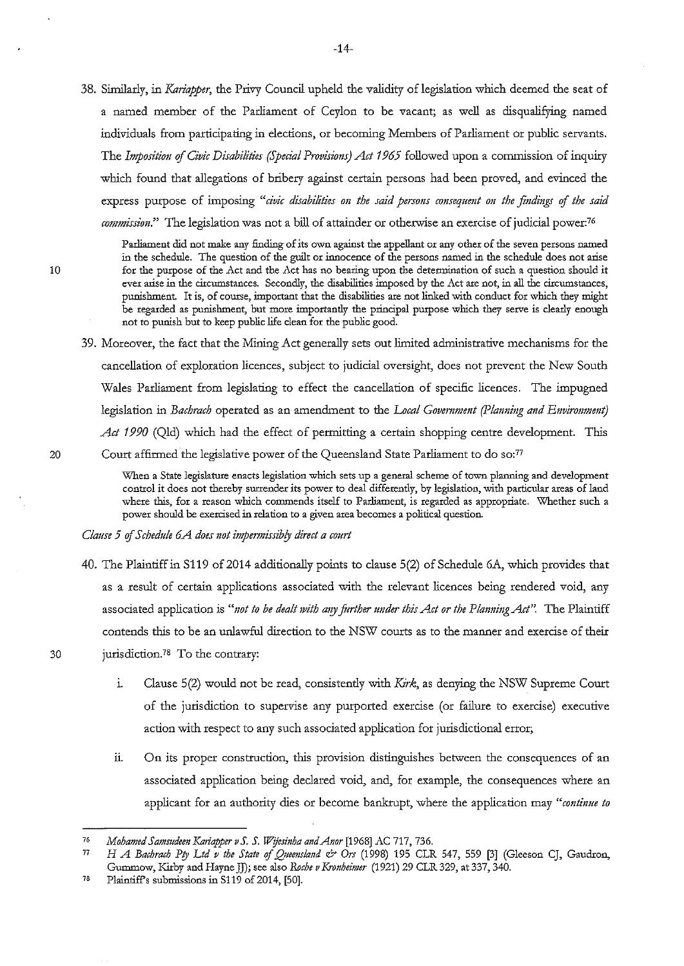38. Similarly, in *Kariapper,* the Privy Council upheld the validity of legislation which deemed the seat of a named member of the Parliament of Ceylon to be vacant; as well as disqualifying named individuals from participating in elections, or becoming Members of Parliament or public servants. The *Imposition of Civic Disabilities (Special Provisions) Act 1965* followed upon a commission of inquiry which found that allegations of bribery against certain persons had been proved, and evinced the express purpose of imposing "*civic disabilities on the said persons consequent on the findings of the said commission."* The legislation was not a bill of attainder or otherwise an exercise of judicial power:76

**Parliament did not make any finding of its own against the appellant or any other of the seven persons named in the schedule. The question of the guilt or innocence of the persons named in the schedule does not arise for the purpose of the** *Act* **and the Act has no bearing upon the determination of such a question should it ever arise in the circumstances. Secondly, the disabilities imposed by the Act are not, in all the circumstances, punishment. It is, of course, important that the disabilities are not linked with conduct for which they might**  be regarded as punishment, but more importantly the principal purpose which they serve is clearly enough not to punish but to keep public life clean for the public good.

39. Moreover, the fact that the Mining Act generally sets out limited administrative mechanisms for the cancellation of exploration licences, subject to judicial oversight, does not prevent the New South Wales Parliament from legislating to effect the cancellation of specific licences. The impugned legislation in *Bachrach* operated as an amendment to the *Local Government (Planning and Environment*) *Act 1990* (Qld) which had the effect of permitting a certain shopping centre development. This 20 Court affirmed the legislative power of the Queensland State Parliament to do so:77

> When a State legislature enacts legislation which sets up a general scheme of town planning and development **control it does not thereby surrender its power to deal differendy, by legislation, with particular areas of land where this, for a reason which commends itself to Parliament, is regarded as appropriate. \Vhether such a power should be exercised in relation to a given area becomes a political question.**

*Clause 5 of Schedule 6.A does not impermissibly direct a court* 

- 40. The Plaintiff in S119 of 2014 additionally points to clause 5(2) of Schedule 6A, which provides that as a result of certain applications associated with the relevant licences being rendered void, any associated application is *"not to be dealt 1vith* mry *fintber under this Act or the Planning Act".* The Plaintiff contends this to be an unlawful direction to the NSW courts as to the manner and exercise of their 30 jurisdiction.78 To the contrary:
- 

- i. Clause  $5(2)$  would not be read, consistently with Kirk, as denying the NSW Supreme Court of the jurisdiction to supervise any purported exercise (or failure to exercise) executive action with respect to any such associated application for jurisdictional error;
- u. On its proper construction, this provision distinguishes between the consequences of an associated application being declared void, and, for example, the consequences where an applicant for an authority dies or become bankrupt, where the application may *"continue to*

<sup>76</sup>  *Mohamed Samsudeen Kariapper v S. S. Wijesinha and Anor* [1968] AC 717, 736.

<sup>77</sup>  *H A Bachrach Pty Ltd v the State of Queensland*  $\circ$  *Ors (1998) 195 CLR 547, 559 [3] (Gleeson CJ, Gaudron,* Gummow, Kirby and Hayne JJ); see also *Roche v Kronheimer* (1921) 29 CLR 329, at 337, 340.

<sup>78</sup>  Plaintiffs submissions in 8119 of 2014, [50].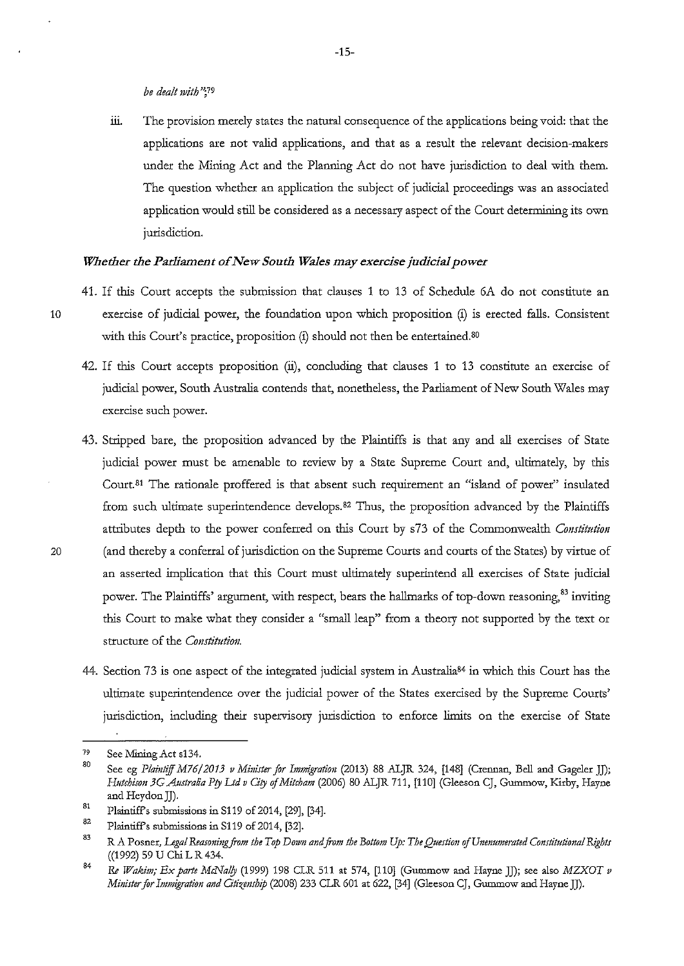iii. The provision merely states the natural consequence of the applications being void: that the applications are not valid applications, and that as a result the relevant decision-makers under the Mining Act and the Planning Act do not have jurisdiction to deal with them. The question whether an application the subject of judicial proceedings was an associated application would still be considered as a necessary aspect of the Court determining its own jurisdiction.

#### *Whether the Parliament of New South Wales may exercise judicial power*

- 41. If this Court accepts the submission that clauses 1 to 13 of Schedule 6A do not constitute an 10 exercise of judicial power, the foundation upon which proposition (i) is erected falls. Consistent with this Court's practice, proposition (i) should not then be entertained.<sup>80</sup>
	- 42. If this Court accepts proposition (ii), concluding that clauses 1 to 13 constitute an exercise of judicial power, South Australia contends that, nonetheless, the Parliament of New South Wales may **exercise such power.**
- 43. Stripped bare, the proposition advanced by the Plaintiffs is that any and all exercises of State judicial power must be amenable to review by a State Supreme Court and, ultimately, by this Court. 81 The rationale proffered is that absent such requirement an "island of power" insulated from such ultimate superintendence develops.82 Thus, the proposition advanced by the Plaintiffs attributes depth to the power conferred on this Court by s73 of the Commonwealth *Constitution*  20 (and thereby a conferral of jurisdiction on the Supreme Courts and courts of the States) by virtue of an asserted implication that this Court must ultimately superintend all exercises of State judicial power. The Plaintiffs' argument, with respect, bears the hallmarks of top-down reasoning,<sup>83</sup> inviting this Court to make what they consider a "small leap" from a theory not supported by the text or structure of the *Constitution.* 
	- 44. Section 73 is one aspect of the integrated judicial system in Australia<sup>84</sup> in which this Court has the ultimate superintendence over the judicial power of the States exercised by the Supreme Courts' jurisdiction, including their supervisory jurisdiction to enforce limits on the exercise of State

<sup>79</sup>  See Mining Act s134.

<sup>80</sup>  81 See eg *Plaintiff M76/2013 v Minister for Immigration* (2013) 88 ALJR 324, [148] (Crennan, Bell and Gageler JJ); *Hutchison 3G Australia P(y Ud v Ci(y* of *Mitcham* (2006) 80 ALJR 711, [110] (Gleeson CJ, Gummow, Kirby, Hayne and Heydon JJ).

Plaintiffs submissions in S119 of 2014, [29], [34].

<sup>82</sup>  Plaintiffs submissions in S119 of 2014, [32].

<sup>83</sup>  R A Posner, *Legal Reasoning from the Top Down and from the Bottom Up: The Question of Unenumerated Constitutional Rights* ((1992) 59 U Chi L R 434.

<sup>84</sup>  Re *Wakim; Ex parte MiNa!(y* (1999) 198 CLR 511 at 574, [110] (Gummow and Hayne JJ); see also *MZXOT v Minister for Immigration and Citizemhip* (2008) 233 CLR 601 at 622, [34] (Gleeson CJ, Gummow and Hayne JJ).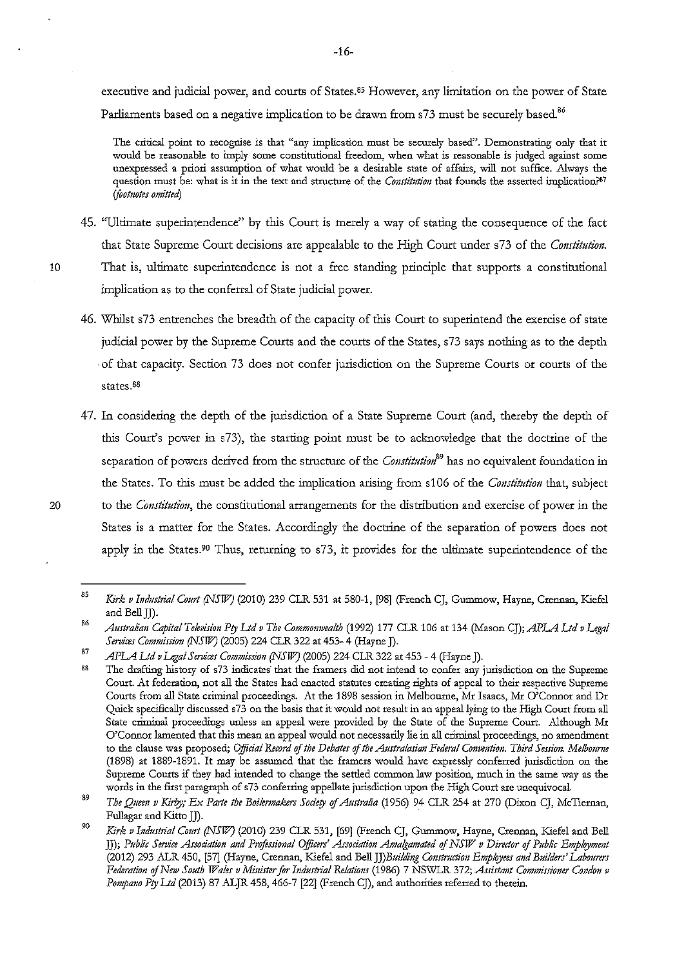executive and judicial power, and courts of States.<sup>85</sup> However, any limitation on the power of State Parliaments based on a negative implication to be drawn from s73 must be securely based.<sup>86</sup>

**The critical point to recognise is that** "any **implication must be securely based''. Demonstrating only that it would be reasonable to imply some constitutional freedom, when what is reasonable is judged against some**  unexpressed a priori assumption of what would be a desirable state of affairs, will not suffice. Always the **question must be: what is it in the text and structure of the** *COJrstittlfi011* **that founds the asserted implication?87**  *ifootnotei omitted)* 

- 45. "Ultimate superintendence" by this Court is merely a way of stating the consequence of the fact that State Supreme Court decisions are appealable to the High Court under s73 of the *Constitution.*  10 That is, ultimate superintendence is not a free standing principle that supports a constitutional implication as to the conferral of State judicial power.
	- 46. Whilst s73 entrenches the breadth of the capacity of this Court to superintend the exercise of state judicial power by the Supreme Courts and the courts of the States, s73 says nothing as to the depth ·of that capacity. Section 73 does not confer jurisdiction on the Supreme Courts or courts of the **states.ss**
- 47. In considering the depth of the jurisdiction of a State Supreme Court (and, thereby the depth of this Court's power in s73), the starting point must be to acknowledge that the doctrine of the separation of powers derived from the structure of the *Constitution*<sup>89</sup> has no equivalent foundation in the States. To this must be added the implication arising from s106 of the *Constitution* that, subject 20 to the *Constitution,* the constitutional arrangements for the distribution and exercise of power in the States is a matter for the States. Accordingly the doctrine of the separation of powers does not apply in the States.<sup>90</sup> Thus, returning to s73, it provides for the ultimate superintendence of the

<sup>85</sup>  *Kirk v Industrial Court (NSW)* (2010) 239 CLR 531 at 580-1, [98] (French CJ, Gummow, Hayne, Crennan, Kiefel and Bell JJ).

<sup>86</sup>  *Australian Capital Television Pry Ltd v The Commonwealth* (1992) 177 CLR 106 at 134 (Mason CJ); *APLA Ltd v Legal Services Commission (NSW)* (2005) 224 CLR 322 at 453-4 (Hayne J).

<sup>87</sup>  *APLA Ltd vLegal Services Commissi011 (NSWJ* (2005) 224 CLR 322 at 453- 4 (Hayne J).

<sup>88</sup>  The drafting history of s73 indicates that the framers did not intend to confer any jurisdiction on the Supreme **Court. At federation, not all the States had enacted statutes creating rights of appeal to their respective Supreme**  Courts from all State criminal proceedings. At the 1898 session in Melbourne, Mr Isaacs, Mr O'Connor and Dr Quick specifically discussed s73 on the basis that it would not result in an appeal lying to the High Court from all State criminal proceedings unless an appeal were provided by the State of the Supreme Court. Although Mr **O'Connor lamented that this mean an appeal would not necessarily lie in all criminal proceedings, no amendment**  to the clause was proposed; *Official Record of the Debates of the Australasian Federal Convention. Third Session. Melbourne* (1898) at 1889-1891. It may be assumed that the framers would have expressly conferred jurisdiction on the **Supreme Courts if they had intended to change the settled common law position, much in the same way as the**  words in the first paragraph of s73 conferring appellate jurisdiction upon the High Court are unequivocal.

<sup>89</sup>  *The Queen v Kirby; Ex Parte the Boilermakers Society of Australia* (1956) 94 CLR 254 at 270 (Dixon CJ, McTiernan, Fullagar and Kitto JJ). .

<sup>90</sup>  *Kirk v Industrial Comt (NSW)* (2010) 239 CLR 531, [69] (French CJ, Gummow, Hayne, Crennan, Kiefel and Bell *]]); P11blic Service Associatio11 and Professional Officers' Association Au1algamated of NSW v Dimtor of PubEc Employmmt*  (2012) 293 ALR 450, [57] (Hayne, Crennan, Kiefel and Bell *JJ)Building Construction Employees and Builders' Labourers* Federation of New South Wales v Minister for Industrial Relations (1986) 7 NSWLR 372; *Assistant Commissioner Condon v Pompano Pry Ltd* (2013) 87 ALJR 458, 466-7 [22] (French CJ), and authorities referred to therein.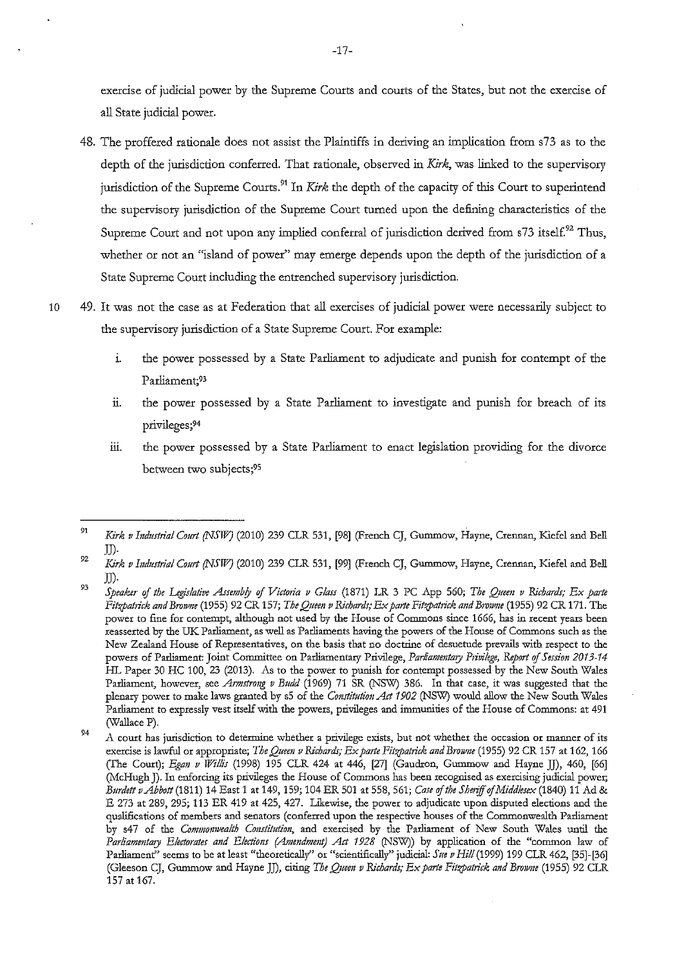exercise of judicial power by the Supreme Courts and courts of the States, but not the exercise of all State judicial power.

- 48. The proffered rationale does not assist the Plaintiffs in deriving an implication from s73 as to the depth of the jurisdiction conferred. That rationale, observed in *Kirk,* was linked to the supervisory jurisdiction of the Supreme Courts.<sup>91</sup> In *Kirk* the depth of the capacity of this Court to superintend the supervisory jurisdiction of the Supreme Court turned upon the defining characteristics of the Supreme Court and not upon any implied conferral of jurisdiction derived from  $s73$  itself.<sup>92</sup> Thus, whether or not an "island of power" may emerge depends upon the depth of the jurisdiction of a State Supreme Court including the entrenched supervisory jurisdiction.
- 10 49. It was not the case as at Federation that all exercises of judicial power were necessatily subject to the supervisory jurisdiction of a State Supreme Court. For example:
	- 1. the power possessed by a State Parliament to adjudicate and punish for contempt of the Parliament;93
	- ii. the power possessed by a State Parliament to investigate and punish for breach of its privileges;94
	- iii. the power possessed by a State Parliament to enact legislation providing for the divorce between two subjects;95

<sup>91</sup>  Kirk v Industrial Court (NSW) (2010) 239 CLR 531, <sup>[98]</sup> (French CJ, Gummow, Hayne, Crennan, Kiefel and Bell JJ).

<sup>92</sup>  *Kirk v Industrial Court (NSW]* (2010) 239 CLR 531, [99] (French CJ, Gummow, Hayne, Crennan, Kiefel and Bell JJ).

<sup>93</sup>  *Speaker* of *the Legislative Assembly* of *Vict01ia v Glass* (1871) LR 3 PC App 560; *The Quem v Richards; Ex parte Fit'{/Jattick and Br01vue* (1955) 92 CR 157; *The Queen v Richards; Ex parte Fit'{/Jattick and Browne* (1955) 92 CR 171. The **power to fine for contempt, although not used by the House of Commons since 1666, has in recent years been reasserted by the UK Pru:liament, as well as Parliaments having the powers of the House of Commons such as the New Zealand House of Representatives, on the basis that no doctrine of desuetude prevails with respect to the**  powers of Parliament: Joint Committee on Parliamentary Privilege, *Parliammtary Ptivilege, Report* of *Session 2013-14*  HL Paper 30 HC 100, 23 (2013). As to the power to punish for contempt possessed by the New South Wales Parliament, however, see *Armstrong v Budd* (1969) 71 SR (NSW) 386. In that case, it was suggested that the plenary power to make laws granted by s5 of the *Constitution* Act *1902* (NSW) would allow the New South Wales **Parliament to expressly vest itself with the powers, privileges and immunities of the House of Commons: at 491**  (Wallace P).

<sup>94</sup>  **A cow:t has jurisdiction to determine whether a privilege exists, but not whether the occasion or manner of its**  exercise is lawful or appropriate; *The Queen v Richards; Ex parte Fitzpatrick and Browne* (1955) 92 CR 157 at 162, 166 (The Court); *Egan v Willis* (1998) 195 CLR 424 at 446, [27] (Gaudron, Gummow and Hayne JJ), 460, [66] (McHugh J). In enforcing its privileges the House of Commons has been recognised as exercising judicial power; *Burdett vAbbott* (1811) 14 East 1 at 149, 159; 104 ER 501 at 558, 561; *Case* of *the* Sh~iff of *Middlesex* (1840) 11 Ad & E 273 at 289, 295; 113 ER 419 at 425, 427. Likewise, the power to adjudicate upon disputed elections and the qualifications of members and senators (conferred upon the respective houses of the Commonwealth Parliament **by s47 of the** *Commomvealth Constitutio11,* **and exercised by the Parliament of New South Wales until the**  Parliamentary Electorates and Elections (Amendment) Act 1928 (NSW)) by application of the "common law of Parliament" seems to be at least "theoretically" or "scientifically" judicial: *Sue v Hill* (1999) 199 CLR 462, [35]-[36] (Gleeson CJ, Gummow and Hayne JJ), citing *The Queen v Richards; Ex parte Fitzpatrick and Browne* (1955) 92 CLR 157 at 167.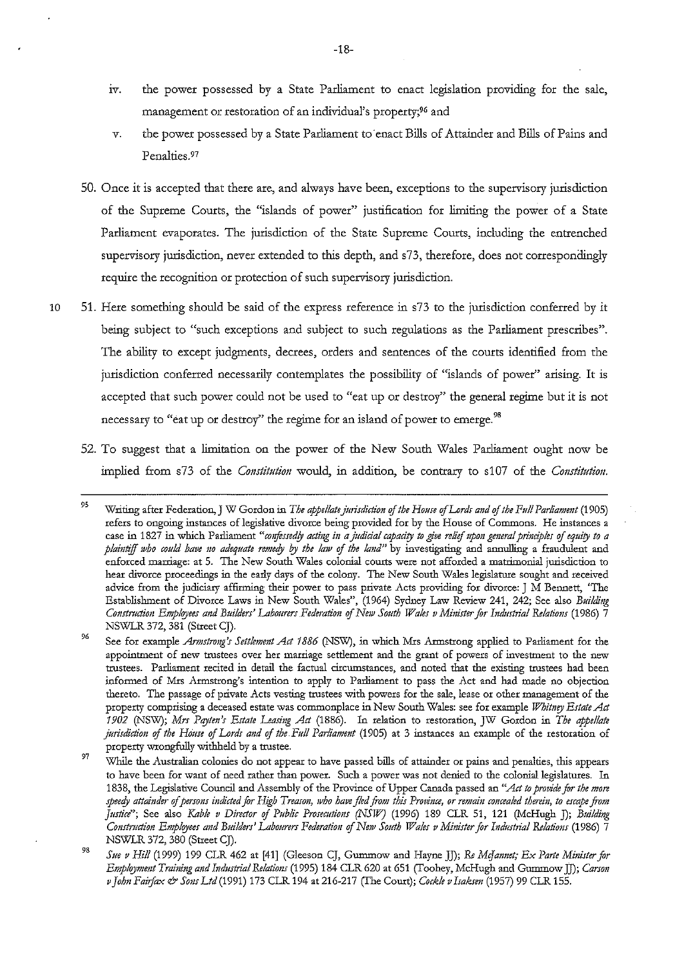- iv. the power possessed by a State Parliament to enact legislation providing for the sale, management or restoration of an individual's property;96 and
- *v.* the power possessed by a State Padiament to enact Bills of Attainder and Bills of Pains and Penalties.97
- 50. Once it is accepted that there are, and always have been, exceptions to the supervisory jurisdiction of the Supreme Courts, the "islands of power" justification for limiting the power of a State Parliament evaporates. The jurisdiction of the State Supreme Courts, including the entrenched supervisory jurisdiction, never extended to this depth, and s73, therefore, does not correspondingly require the recogoition or protection of such supervisory jurisdiction.
- 10 51. Here something should be said of the express reference in s73 to the jurisdiction conferred by it being subject to "such exceptions and subject to such regulations as the Parliament prescribes". The ability to except judgments, decrees, orders and sentences of the courts identified from the jurisdiction conferred necessarily contemplates the possibility of "islands of power" arising. It is accepted that such power could not be used to "eat up or destroy" the general regime but it is not necessary to "eat up or destroy" the regime for an island of power to emerge.<sup>98</sup>
	- 52. To suggest that a limitation on the power of the New South Wales Parliament ought now be implied from s73 of the *Constitution* would, in addition, be contrary to s107 of the *Constitution*.

<sup>95</sup>  Writing after Federation, J W Gordon in *The appellate jurisdiction of the House of Lords and of the Full Parliament* (1905) **refers to ongoing instances of legislative divorce being provided for by the House of Commons. He instances a**  case in 1827 in which Parliament "confessedly acting in a judicial capacity to give relief upon general principles of equity to a plaintiff who could have no adequate remedy by the law of the land" by investigating and annulling a fraudulent and **enforced marriage: at 5. The New South Wales colonial courts were not afforded a matrimonial jurisdiction to hear divorce proceedings in the early days of the colony. The New South Wales legislature sought and received advice from the judiciary affirming their power to pass private Acts providing for divorce: J M Bennett,** *l'The*  Establishment of Divorce Laws in New South Wales", (1964) Sydney Law Review 241, 242; See also *Building Construction Employees and Builders' Labourers Federation of New South Wales v Minister for Industrial Relations* (1986) 7 NSWLR 372, 381 (Street CJ).

<sup>96</sup>  See for example *Armstrong's Settlement Act 1886* (NSW), in which Mrs Armstrong applied to Parliament for the **appointment of new trustees over her marriage settlement and the grant of powers of investment to the new trustees. Parliament recited in detail the factual circumstances, and noted that the existing trustees had been informed of Mrs Armstrong's intention to apply to Parliament to pass the Act and had made no objection thereto. The passage of private Acts vesting trustees with powers for the sale, lease or other management of the**  property comprising a deceased estate was commonplace in New South Wales: see for example *Whitney Estate Act 1902* (NSW); *Mrs Paytm's Estate Leasil(g Act* (1886). In relation to restoration, JW Gordon in *The appellate jurisdiction of the House of Lords and of the Full Parliament* (1905) at 3 instances an example of the restoration of property wrongfully withheld by a trustee.

<sup>97</sup>  **While the Australian colonies do not appear to have passed bills of attainder or pains and penalties, this appears to have been for want of need rather than power. Such a power was not denied to the colonial legislatures. In**  1838, the Legislative Council and Assembly of the Province of Upper Canada passed an "Act to provide for the more *speet!J attai11der* **of** *perso11s indicted for High Treason, who have fled from this Province, or remai11 co11cea/ed therein, to escape from*  Justice"; See also *Kable v Director of Public Prosecutions (NSW)* (1996) 189 CLR 51, 121 (McHugh J); *Building Construction Employees and Builders' Labourers Federation of New South Wales v Minister for Industrial Relations* (1986) 7 NSWLR 372, 380 (Street CJ).

<sup>98</sup>  *Sue v Hill* (1999) 199 CLR 462 at [41] (Gleeson CJ, Gummow and Hayne JJ); Re McJannet; Ex Parte Minister for *Employmmt Training and Industrial Relatio11s* (1995) 184 CLR 620 at 651 (Toohey, McHugh and Gummow JJ); *Carson v John Faiifax* & *Sons Ltd* (1991) 173 CLR 194 at 216-217 (The Court); *Cockle v Isaksm* (1957) 99 CLR 155.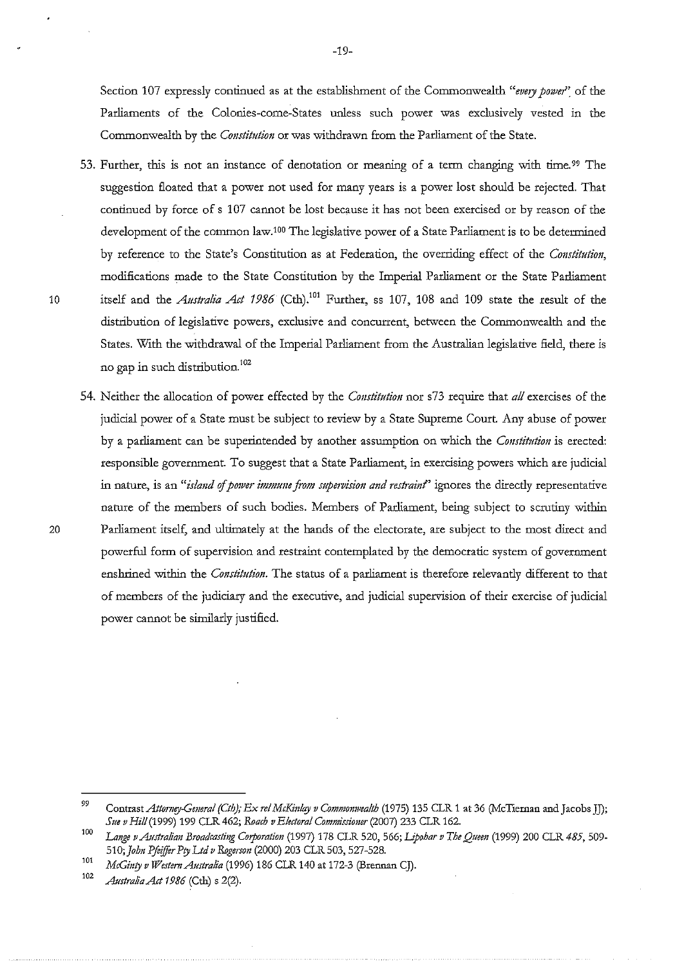Section 107 expressly continued as at the establishment of the Commonwealth *"every power"* of the Parliaments of the Colonies-come-States unless such power was exclusively vested in the Commonwealth by the *Constitutimt* or was withdrawn from the Parliament of the State.

- 53. Further, this is not an instance of denotation or meaning of a term changing with time. 99 The suggestion floated that a power not used for many years is a power lost should be rejected. That continued by force of s 107 cannot be lost because it has not been exercised or by reason of the development of the common law.<sup>100</sup> The legislative power of a State Parliament is to be determined by reference to the State's Constitution as at Federation, the overriding effect of the *Constitution,*  modifications made to the State Constitution by the Imperial Parliament or the State Parliament 10 itself and the *Australia Act 1986* (Cth).101 Further, ss 107, 108 and 109 state the result of the distribution of legislative powers, exclusive and concurrent, between the Commonwealth and the States. With the withdrawal of the Imperial Parliament from the Australian legislative field, there is no gap in such distribution.<sup>102</sup>
- 54. Neither the allocation of power effected by the *Constitution* nor s73 require that *all* exercises of the judicial power of a State must be subject to review by a State Supreme Court Any abuse of power by a parliament can be superintended by another assumption on which the *Constitution* is erected: responsible government. To suggest that a State Parliament, in exercising powers which are judicial in nature, is an "*island of power immune from supervision and restraint*" ignores the directly representative nature of the members of such bodies. Members of Parliament, being subject to scrutiny within 20 Parliament itself, and ultimately at the hands of the electorate, are subject to the most direct and powerful form of supervision and restraint contemplated by the democratic system of government enshrined within the *Constitution.* The status of a parliament is therefore relevantly different to that of members of the judiciary and the executive, and judicial supervision of their exercise of judicial power cannot be similarly justified.

<sup>99</sup>  Contrast *Attomey.Cmeral (Cth); Ex ref McKinlay v Commomvea!th* (1975) 135 CLR 1 at 36 (McTiernan and Jacobs JJ); *Sue v Hi/1(1999)* 199 CLR462; *Roach v Electoral Commissiomr* (2007) 233 CLR 162.

<sup>100</sup>  *La1!ge vAustra!imt Broadcasti1g Corporation* (1997) 178 CLR 520, 566; *I.ipohar v The Quem* (1999) 200 CLR *485,* 509- 510; John Pfeiffer Pty Ltd v Rogerson (2000) 203 CLR 503, 527-528.

<sup>101</sup>  *McGinty v WestemAustralia* (1996) 186 CLR 140 at 172-3 (Brennan CJ).

<sup>102</sup>*Australia Act 1986* (Cth) s 2(2).